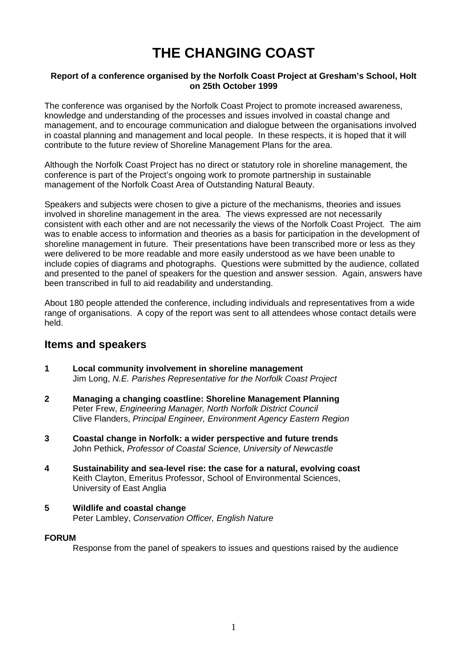# **THE CHANGING COAST**

### **Report of a conference organised by the Norfolk Coast Project at Gresham's School, Holt on 25th October 1999**

The conference was organised by the Norfolk Coast Project to promote increased awareness, knowledge and understanding of the processes and issues involved in coastal change and management, and to encourage communication and dialogue between the organisations involved in coastal planning and management and local people. In these respects, it is hoped that it will contribute to the future review of Shoreline Management Plans for the area.

Although the Norfolk Coast Project has no direct or statutory role in shoreline management, the conference is part of the Project's ongoing work to promote partnership in sustainable management of the Norfolk Coast Area of Outstanding Natural Beauty.

Speakers and subjects were chosen to give a picture of the mechanisms, theories and issues involved in shoreline management in the area. The views expressed are not necessarily consistent with each other and are not necessarily the views of the Norfolk Coast Project. The aim was to enable access to information and theories as a basis for participation in the development of shoreline management in future. Their presentations have been transcribed more or less as they were delivered to be more readable and more easily understood as we have been unable to include copies of diagrams and photographs. Questions were submitted by the audience, collated and presented to the panel of speakers for the question and answer session. Again, answers have been transcribed in full to aid readability and understanding.

About 180 people attended the conference, including individuals and representatives from a wide range of organisations. A copy of the report was sent to all attendees whose contact details were held.

## **Items and speakers**

- **1 Local community involvement in shoreline management**  Jim Long, *N.E. Parishes Representative for the Norfolk Coast Project*
- **2 Managing a changing coastline: Shoreline Management Planning**  Peter Frew, *Engineering Manager, North Norfolk District Council* Clive Flanders, *Principal Engineer, Environment Agency Eastern Region*
- **3 Coastal change in Norfolk: a wider perspective and future trends**  John Pethick, *Professor of Coastal Science, University of Newcastle*
- **4 Sustainability and sea-level rise: the case for a natural, evolving coast**  Keith Clayton, Emeritus Professor, School of Environmental Sciences, University of East Anglia
- **5 Wildlife and coastal change**  Peter Lambley, *Conservation Officer, English Nature*

### **FORUM**

Response from the panel of speakers to issues and questions raised by the audience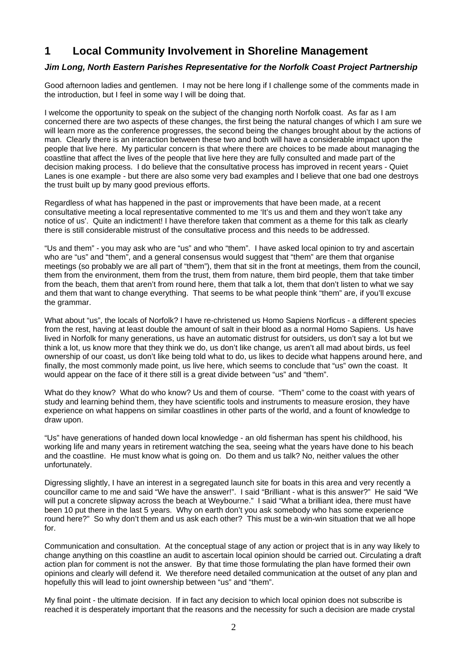## **1 Local Community Involvement in Shoreline Management**

### *Jim Long, North Eastern Parishes Representative for the Norfolk Coast Project Partnership*

Good afternoon ladies and gentlemen. I may not be here long if I challenge some of the comments made in the introduction, but I feel in some way I will be doing that.

I welcome the opportunity to speak on the subject of the changing north Norfolk coast. As far as I am concerned there are two aspects of these changes, the first being the natural changes of which I am sure we will learn more as the conference progresses, the second being the changes brought about by the actions of man. Clearly there is an interaction between these two and both will have a considerable impact upon the people that live here. My particular concern is that where there are choices to be made about managing the coastline that affect the lives of the people that live here they are fully consulted and made part of the decision making process. I do believe that the consultative process has improved in recent years - Quiet Lanes is one example - but there are also some very bad examples and I believe that one bad one destroys the trust built up by many good previous efforts.

Regardless of what has happened in the past or improvements that have been made, at a recent consultative meeting a local representative commented to me 'It's us and them and they won't take any notice of us'. Quite an indictment! I have therefore taken that comment as a theme for this talk as clearly there is still considerable mistrust of the consultative process and this needs to be addressed.

"Us and them" - you may ask who are "us" and who "them". I have asked local opinion to try and ascertain who are "us" and "them", and a general consensus would suggest that "them" are them that organise meetings (so probably we are all part of "them"), them that sit in the front at meetings, them from the council, them from the environment, them from the trust, them from nature, them bird people, them that take timber from the beach, them that aren't from round here, them that talk a lot, them that don't listen to what we say and them that want to change everything. That seems to be what people think "them" are, if you'll excuse the grammar.

What about "us", the locals of Norfolk? I have re-christened us Homo Sapiens Norficus - a different species from the rest, having at least double the amount of salt in their blood as a normal Homo Sapiens. Us have lived in Norfolk for many generations, us have an automatic distrust for outsiders, us don't say a lot but we think a lot, us know more that they think we do, us don't like change, us aren't all mad about birds, us feel ownership of our coast, us don't like being told what to do, us likes to decide what happens around here, and finally, the most commonly made point, us live here, which seems to conclude that "us" own the coast. It would appear on the face of it there still is a great divide between "us" and "them".

What do they know? What do who know? Us and them of course. "Them" come to the coast with years of study and learning behind them, they have scientific tools and instruments to measure erosion, they have experience on what happens on similar coastlines in other parts of the world, and a fount of knowledge to draw upon.

"Us" have generations of handed down local knowledge - an old fisherman has spent his childhood, his working life and many years in retirement watching the sea, seeing what the years have done to his beach and the coastline. He must know what is going on. Do them and us talk? No, neither values the other unfortunately.

Digressing slightly, I have an interest in a segregated launch site for boats in this area and very recently a councillor came to me and said "We have the answer!". I said "Brilliant - what is this answer?" He said "We will put a concrete slipway across the beach at Weybourne." I said "What a brilliant idea, there must have been 10 put there in the last 5 years. Why on earth don't you ask somebody who has some experience round here?" So why don't them and us ask each other? This must be a win-win situation that we all hope for.

Communication and consultation. At the conceptual stage of any action or project that is in any way likely to change anything on this coastline an audit to ascertain local opinion should be carried out. Circulating a draft action plan for comment is not the answer. By that time those formulating the plan have formed their own opinions and clearly will defend it. We therefore need detailed communication at the outset of any plan and hopefully this will lead to joint ownership between "us" and "them".

My final point - the ultimate decision. If in fact any decision to which local opinion does not subscribe is reached it is desperately important that the reasons and the necessity for such a decision are made crystal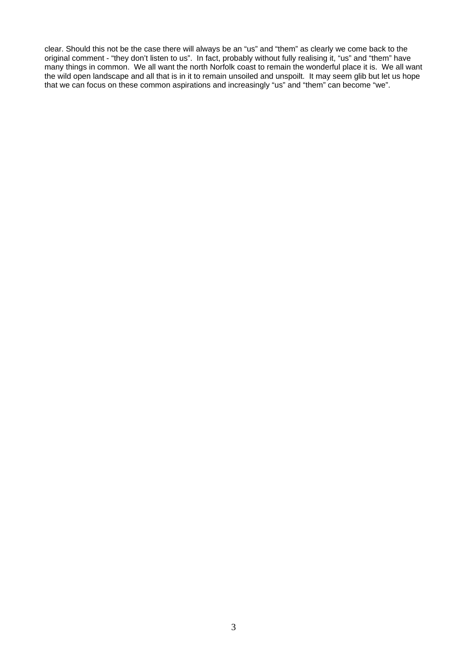clear. Should this not be the case there will always be an "us" and "them" as clearly we come back to the original comment - "they don't listen to us". In fact, probably without fully realising it, "us" and "them" have many things in common. We all want the north Norfolk coast to remain the wonderful place it is. We all want the wild open landscape and all that is in it to remain unsoiled and unspoilt. It may seem glib but let us hope that we can focus on these common aspirations and increasingly "us" and "them" can become "we".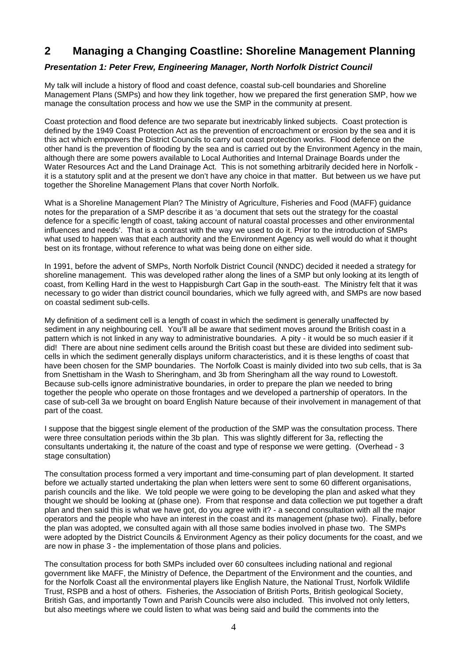## **2 Managing a Changing Coastline: Shoreline Management Planning**

## *Presentation 1: Peter Frew, Engineering Manager, North Norfolk District Council*

My talk will include a history of flood and coast defence, coastal sub-cell boundaries and Shoreline Management Plans (SMPs) and how they link together, how we prepared the first generation SMP, how we manage the consultation process and how we use the SMP in the community at present.

Coast protection and flood defence are two separate but inextricably linked subjects. Coast protection is defined by the 1949 Coast Protection Act as the prevention of encroachment or erosion by the sea and it is this act which empowers the District Councils to carry out coast protection works. Flood defence on the other hand is the prevention of flooding by the sea and is carried out by the Environment Agency in the main, although there are some powers available to Local Authorities and Internal Drainage Boards under the Water Resources Act and the Land Drainage Act. This is not something arbitrarily decided here in Norfolk it is a statutory split and at the present we don't have any choice in that matter. But between us we have put together the Shoreline Management Plans that cover North Norfolk.

What is a Shoreline Management Plan? The Ministry of Agriculture, Fisheries and Food (MAFF) guidance notes for the preparation of a SMP describe it as 'a document that sets out the strategy for the coastal defence for a specific length of coast, taking account of natural coastal processes and other environmental influences and needs'. That is a contrast with the way we used to do it. Prior to the introduction of SMPs what used to happen was that each authority and the Environment Agency as well would do what it thought best on its frontage, without reference to what was being done on either side.

In 1991, before the advent of SMPs, North Norfolk District Council (NNDC) decided it needed a strategy for shoreline management. This was developed rather along the lines of a SMP but only looking at its length of coast, from Kelling Hard in the west to Happisburgh Cart Gap in the south-east. The Ministry felt that it was necessary to go wider than district council boundaries, which we fully agreed with, and SMPs are now based on coastal sediment sub-cells.

My definition of a sediment cell is a length of coast in which the sediment is generally unaffected by sediment in any neighbouring cell. You'll all be aware that sediment moves around the British coast in a pattern which is not linked in any way to administrative boundaries. A pity - it would be so much easier if it did! There are about nine sediment cells around the British coast but these are divided into sediment subcells in which the sediment generally displays uniform characteristics, and it is these lengths of coast that have been chosen for the SMP boundaries. The Norfolk Coast is mainly divided into two sub cells, that is 3a from Snettisham in the Wash to Sheringham, and 3b from Sheringham all the way round to Lowestoft. Because sub-cells ignore administrative boundaries, in order to prepare the plan we needed to bring together the people who operate on those frontages and we developed a partnership of operators. In the case of sub-cell 3a we brought on board English Nature because of their involvement in management of that part of the coast.

I suppose that the biggest single element of the production of the SMP was the consultation process. There were three consultation periods within the 3b plan. This was slightly different for 3a, reflecting the consultants undertaking it, the nature of the coast and type of response we were getting. (Overhead - 3 stage consultation)

The consultation process formed a very important and time-consuming part of plan development. It started before we actually started undertaking the plan when letters were sent to some 60 different organisations, parish councils and the like. We told people we were going to be developing the plan and asked what they thought we should be looking at (phase one). From that response and data collection we put together a draft plan and then said this is what we have got, do you agree with it? - a second consultation with all the major operators and the people who have an interest in the coast and its management (phase two). Finally, before the plan was adopted, we consulted again with all those same bodies involved in phase two. The SMPs were adopted by the District Councils & Environment Agency as their policy documents for the coast, and we are now in phase 3 - the implementation of those plans and policies.

The consultation process for both SMPs included over 60 consultees including national and regional government like MAFF, the Ministry of Defence, the Department of the Environment and the counties, and for the Norfolk Coast all the environmental players like English Nature, the National Trust, Norfolk Wildlife Trust, RSPB and a host of others. Fisheries, the Association of British Ports, British geological Society, British Gas, and importantly Town and Parish Councils were also included. This involved not only letters, but also meetings where we could listen to what was being said and build the comments into the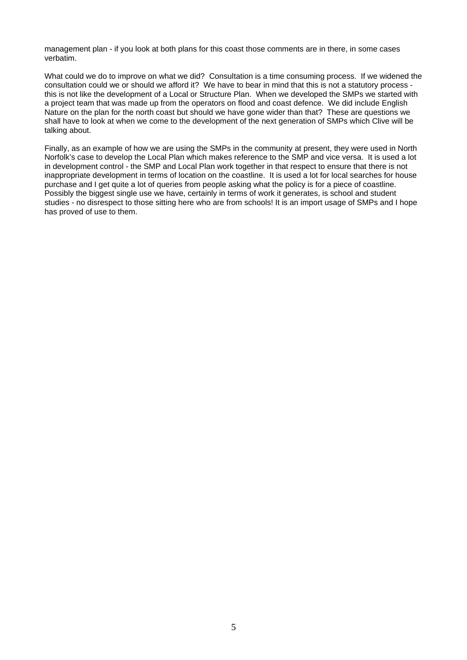management plan - if you look at both plans for this coast those comments are in there, in some cases verbatim.

What could we do to improve on what we did? Consultation is a time consuming process. If we widened the consultation could we or should we afford it? We have to bear in mind that this is not a statutory process this is not like the development of a Local or Structure Plan. When we developed the SMPs we started with a project team that was made up from the operators on flood and coast defence. We did include English Nature on the plan for the north coast but should we have gone wider than that? These are questions we shall have to look at when we come to the development of the next generation of SMPs which Clive will be talking about.

Finally, as an example of how we are using the SMPs in the community at present, they were used in North Norfolk's case to develop the Local Plan which makes reference to the SMP and vice versa. It is used a lot in development control - the SMP and Local Plan work together in that respect to ensure that there is not inappropriate development in terms of location on the coastline. It is used a lot for local searches for house purchase and I get quite a lot of queries from people asking what the policy is for a piece of coastline. Possibly the biggest single use we have, certainly in terms of work it generates, is school and student studies - no disrespect to those sitting here who are from schools! It is an import usage of SMPs and I hope has proved of use to them.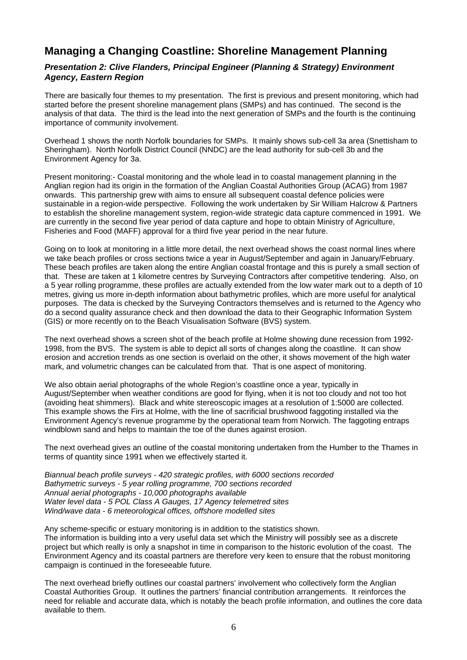## **Managing a Changing Coastline: Shoreline Management Planning**

### *Presentation 2: Clive Flanders, Principal Engineer (Planning & Strategy) Environment Agency, Eastern Region*

There are basically four themes to my presentation. The first is previous and present monitoring, which had started before the present shoreline management plans (SMPs) and has continued. The second is the analysis of that data. The third is the lead into the next generation of SMPs and the fourth is the continuing importance of community involvement.

Overhead 1 shows the north Norfolk boundaries for SMPs. It mainly shows sub-cell 3a area (Snettisham to Sheringham). North Norfolk District Council (NNDC) are the lead authority for sub-cell 3b and the Environment Agency for 3a.

Present monitoring:- Coastal monitoring and the whole lead in to coastal management planning in the Anglian region had its origin in the formation of the Anglian Coastal Authorities Group (ACAG) from 1987 onwards. This partnership grew with aims to ensure all subsequent coastal defence policies were sustainable in a region-wide perspective. Following the work undertaken by Sir William Halcrow & Partners to establish the shoreline management system, region-wide strategic data capture commenced in 1991. We are currently in the second five year period of data capture and hope to obtain Ministry of Agriculture, Fisheries and Food (MAFF) approval for a third five year period in the near future.

Going on to look at monitoring in a little more detail, the next overhead shows the coast normal lines where we take beach profiles or cross sections twice a year in August/September and again in January/February. These beach profiles are taken along the entire Anglian coastal frontage and this is purely a small section of that. These are taken at 1 kilometre centres by Surveying Contractors after competitive tendering. Also, on a 5 year rolling programme, these profiles are actually extended from the low water mark out to a depth of 10 metres, giving us more in-depth information about bathymetric profiles, which are more useful for analytical purposes. The data is checked by the Surveying Contractors themselves and is returned to the Agency who do a second quality assurance check and then download the data to their Geographic Information System (GIS) or more recently on to the Beach Visualisation Software (BVS) system.

The next overhead shows a screen shot of the beach profile at Holme showing dune recession from 1992- 1998, from the BVS. The system is able to depict all sorts of changes along the coastline. It can show erosion and accretion trends as one section is overlaid on the other, it shows movement of the high water mark, and volumetric changes can be calculated from that. That is one aspect of monitoring.

We also obtain aerial photographs of the whole Region's coastline once a year, typically in August/September when weather conditions are good for flying, when it is not too cloudy and not too hot (avoiding heat shimmers). Black and white stereoscopic images at a resolution of 1:5000 are collected. This example shows the Firs at Holme, with the line of sacrificial brushwood faggoting installed via the Environment Agency's revenue programme by the operational team from Norwich. The faggoting entraps windblown sand and helps to maintain the toe of the dunes against erosion.

The next overhead gives an outline of the coastal monitoring undertaken from the Humber to the Thames in terms of quantity since 1991 when we effectively started it.

*Biannual beach profile surveys - 420 strategic profiles, with 6000 sections recorded Bathymetric surveys - 5 year rolling programme, 700 sections recorded Annual aerial photographs - 10,000 photographs available Water level data - 5 POL Class A Gauges, 17 Agency telemetred sites Wind/wave data - 6 meteorological offices, offshore modelled sites* 

Any scheme-specific or estuary monitoring is in addition to the statistics shown. The information is building into a very useful data set which the Ministry will possibly see as a discrete project but which really is only a snapshot in time in comparison to the historic evolution of the coast. The Environment Agency and its coastal partners are therefore very keen to ensure that the robust monitoring campaign is continued in the foreseeable future.

The next overhead briefly outlines our coastal partners' involvement who collectively form the Anglian Coastal Authorities Group. It outlines the partners' financial contribution arrangements. It reinforces the need for reliable and accurate data, which is notably the beach profile information, and outlines the core data available to them.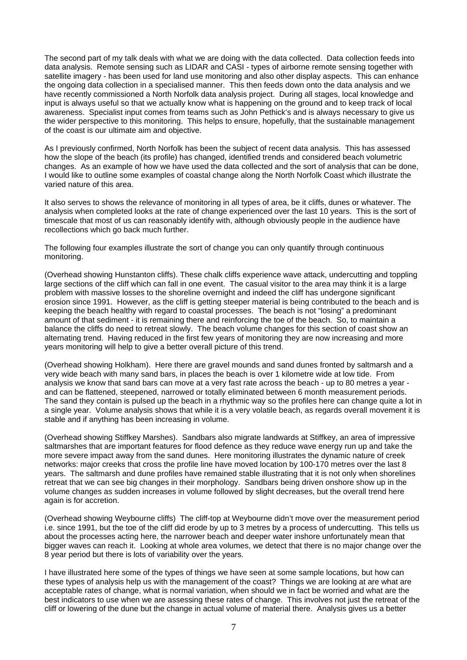The second part of my talk deals with what we are doing with the data collected. Data collection feeds into data analysis. Remote sensing such as LIDAR and CASI - types of airborne remote sensing together with satellite imagery - has been used for land use monitoring and also other display aspects. This can enhance the ongoing data collection in a specialised manner. This then feeds down onto the data analysis and we have recently commissioned a North Norfolk data analysis project. During all stages, local knowledge and input is always useful so that we actually know what is happening on the ground and to keep track of local awareness. Specialist input comes from teams such as John Pethick's and is always necessary to give us the wider perspective to this monitoring. This helps to ensure, hopefully, that the sustainable management of the coast is our ultimate aim and objective.

As I previously confirmed, North Norfolk has been the subject of recent data analysis. This has assessed how the slope of the beach (its profile) has changed, identified trends and considered beach volumetric changes. As an example of how we have used the data collected and the sort of analysis that can be done, I would like to outline some examples of coastal change along the North Norfolk Coast which illustrate the varied nature of this area.

It also serves to shows the relevance of monitoring in all types of area, be it cliffs, dunes or whatever. The analysis when completed looks at the rate of change experienced over the last 10 years. This is the sort of timescale that most of us can reasonably identify with, although obviously people in the audience have recollections which go back much further.

The following four examples illustrate the sort of change you can only quantify through continuous monitoring.

(Overhead showing Hunstanton cliffs). These chalk cliffs experience wave attack, undercutting and toppling large sections of the cliff which can fall in one event. The casual visitor to the area may think it is a large problem with massive losses to the shoreline overnight and indeed the cliff has undergone significant erosion since 1991. However, as the cliff is getting steeper material is being contributed to the beach and is keeping the beach healthy with regard to coastal processes. The beach is not "losing" a predominant amount of that sediment - it is remaining there and reinforcing the toe of the beach. So, to maintain a balance the cliffs do need to retreat slowly. The beach volume changes for this section of coast show an alternating trend. Having reduced in the first few years of monitoring they are now increasing and more years monitoring will help to give a better overall picture of this trend.

(Overhead showing Holkham). Here there are gravel mounds and sand dunes fronted by saltmarsh and a very wide beach with many sand bars, in places the beach is over 1 kilometre wide at low tide. From analysis we know that sand bars can move at a very fast rate across the beach - up to 80 metres a year and can be flattened, steepened, narrowed or totally eliminated between 6 month measurement periods. The sand they contain is pulsed up the beach in a rhythmic way so the profiles here can change quite a lot in a single year. Volume analysis shows that while it is a very volatile beach, as regards overall movement it is stable and if anything has been increasing in volume.

(Overhead showing Stiffkey Marshes). Sandbars also migrate landwards at Stiffkey, an area of impressive saltmarshes that are important features for flood defence as they reduce wave energy run up and take the more severe impact away from the sand dunes. Here monitoring illustrates the dynamic nature of creek networks: major creeks that cross the profile line have moved location by 100-170 metres over the last 8 years. The saltmarsh and dune profiles have remained stable illustrating that it is not only when shorelines retreat that we can see big changes in their morphology. Sandbars being driven onshore show up in the volume changes as sudden increases in volume followed by slight decreases, but the overall trend here again is for accretion.

(Overhead showing Weybourne cliffs) The cliff-top at Weybourne didn't move over the measurement period i.e. since 1991, but the toe of the cliff did erode by up to 3 metres by a process of undercutting. This tells us about the processes acting here, the narrower beach and deeper water inshore unfortunately mean that bigger waves can reach it. Looking at whole area volumes, we detect that there is no major change over the 8 year period but there is lots of variability over the years.

I have illustrated here some of the types of things we have seen at some sample locations, but how can these types of analysis help us with the management of the coast? Things we are looking at are what are acceptable rates of change, what is normal variation, when should we in fact be worried and what are the best indicators to use when we are assessing these rates of change. This involves not just the retreat of the cliff or lowering of the dune but the change in actual volume of material there. Analysis gives us a better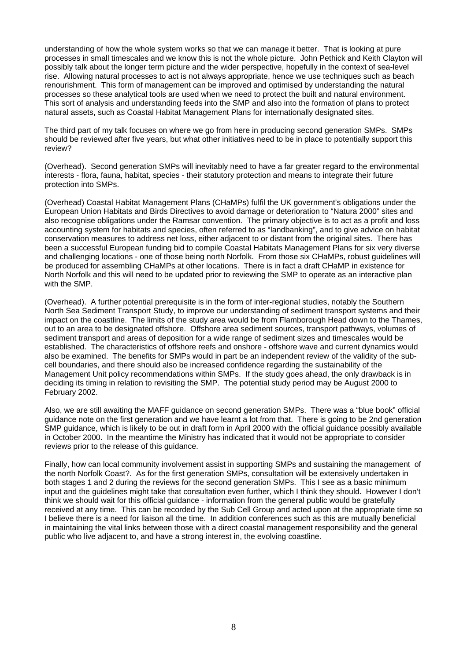understanding of how the whole system works so that we can manage it better. That is looking at pure processes in small timescales and we know this is not the whole picture. John Pethick and Keith Clayton will possibly talk about the longer term picture and the wider perspective, hopefully in the context of sea-level rise. Allowing natural processes to act is not always appropriate, hence we use techniques such as beach renourishment. This form of management can be improved and optimised by understanding the natural processes so these analytical tools are used when we need to protect the built and natural environment. This sort of analysis and understanding feeds into the SMP and also into the formation of plans to protect natural assets, such as Coastal Habitat Management Plans for internationally designated sites.

The third part of my talk focuses on where we go from here in producing second generation SMPs. SMPs should be reviewed after five years, but what other initiatives need to be in place to potentially support this review?

(Overhead). Second generation SMPs will inevitably need to have a far greater regard to the environmental interests - flora, fauna, habitat, species - their statutory protection and means to integrate their future protection into SMPs.

(Overhead) Coastal Habitat Management Plans (CHaMPs) fulfil the UK government's obligations under the European Union Habitats and Birds Directives to avoid damage or deterioration to "Natura 2000" sites and also recognise obligations under the Ramsar convention. The primary objective is to act as a profit and loss accounting system for habitats and species, often referred to as "landbanking", and to give advice on habitat conservation measures to address net loss, either adjacent to or distant from the original sites. There has been a successful European funding bid to compile Coastal Habitats Management Plans for six very diverse and challenging locations - one of those being north Norfolk. From those six CHaMPs, robust guidelines will be produced for assembling CHaMPs at other locations. There is in fact a draft CHaMP in existence for North Norfolk and this will need to be updated prior to reviewing the SMP to operate as an interactive plan with the SMP.

(Overhead). A further potential prerequisite is in the form of inter-regional studies, notably the Southern North Sea Sediment Transport Study, to improve our understanding of sediment transport systems and their impact on the coastline. The limits of the study area would be from Flamborough Head down to the Thames, out to an area to be designated offshore. Offshore area sediment sources, transport pathways, volumes of sediment transport and areas of deposition for a wide range of sediment sizes and timescales would be established. The characteristics of offshore reefs and onshore - offshore wave and current dynamics would also be examined. The benefits for SMPs would in part be an independent review of the validity of the subcell boundaries, and there should also be increased confidence regarding the sustainability of the Management Unit policy recommendations within SMPs. If the study goes ahead, the only drawback is in deciding its timing in relation to revisiting the SMP. The potential study period may be August 2000 to February 2002.

Also, we are still awaiting the MAFF guidance on second generation SMPs. There was a "blue book" official guidance note on the first generation and we have learnt a lot from that. There is going to be 2nd generation SMP guidance, which is likely to be out in draft form in April 2000 with the official guidance possibly available in October 2000. In the meantime the Ministry has indicated that it would not be appropriate to consider reviews prior to the release of this guidance.

Finally, how can local community involvement assist in supporting SMPs and sustaining the management of the north Norfolk Coast?. As for the first generation SMPs, consultation will be extensively undertaken in both stages 1 and 2 during the reviews for the second generation SMPs. This I see as a basic minimum input and the guidelines might take that consultation even further, which I think they should. However I don't think we should wait for this official guidance - information from the general public would be gratefully received at any time. This can be recorded by the Sub Cell Group and acted upon at the appropriate time so I believe there is a need for liaison all the time. In addition conferences such as this are mutually beneficial in maintaining the vital links between those with a direct coastal management responsibility and the general public who live adjacent to, and have a strong interest in, the evolving coastline.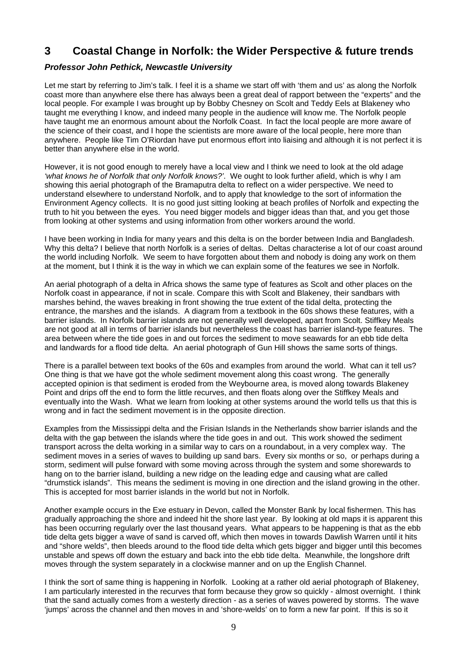## **3 Coastal Change in Norfolk: the Wider Perspective & future trends**

### *Professor John Pethick, Newcastle University*

Let me start by referring to Jim's talk. I feel it is a shame we start off with 'them and us' as along the Norfolk coast more than anywhere else there has always been a great deal of rapport between the "experts" and the local people. For example I was brought up by Bobby Chesney on Scolt and Teddy Eels at Blakeney who taught me everything I know, and indeed many people in the audience will know me. The Norfolk people have taught me an enormous amount about the Norfolk Coast. In fact the local people are more aware of the science of their coast, and I hope the scientists are more aware of the local people, here more than anywhere. People like Tim O'Riordan have put enormous effort into liaising and although it is not perfect it is better than anywhere else in the world.

However, it is not good enough to merely have a local view and I think we need to look at the old adage *'what knows he of Norfolk that only Norfolk knows?'*. We ought to look further afield, which is why I am showing this aerial photograph of the Bramaputra delta to reflect on a wider perspective. We need to understand elsewhere to understand Norfolk, and to apply that knowledge to the sort of information the Environment Agency collects. It is no good just sitting looking at beach profiles of Norfolk and expecting the truth to hit you between the eyes. You need bigger models and bigger ideas than that, and you get those from looking at other systems and using information from other workers around the world.

I have been working in India for many years and this delta is on the border between India and Bangladesh. Why this delta? I believe that north Norfolk is a series of deltas. Deltas characterise a lot of our coast around the world including Norfolk. We seem to have forgotten about them and nobody is doing any work on them at the moment, but I think it is the way in which we can explain some of the features we see in Norfolk.

An aerial photograph of a delta in Africa shows the same type of features as Scolt and other places on the Norfolk coast in appearance, if not in scale. Compare this with Scolt and Blakeney, their sandbars with marshes behind, the waves breaking in front showing the true extent of the tidal delta, protecting the entrance, the marshes and the islands. A diagram from a textbook in the 60s shows these features, with a barrier islands. In Norfolk barrier islands are not generally well developed, apart from Scolt. Stiffkey Meals are not good at all in terms of barrier islands but nevertheless the coast has barrier island-type features. The area between where the tide goes in and out forces the sediment to move seawards for an ebb tide delta and landwards for a flood tide delta. An aerial photograph of Gun Hill shows the same sorts of things.

There is a parallel between text books of the 60s and examples from around the world. What can it tell us? One thing is that we have got the whole sediment movement along this coast wrong. The generally accepted opinion is that sediment is eroded from the Weybourne area, is moved along towards Blakeney Point and drips off the end to form the little recurves, and then floats along over the Stiffkey Meals and eventually into the Wash. What we learn from looking at other systems around the world tells us that this is wrong and in fact the sediment movement is in the opposite direction.

Examples from the Mississippi delta and the Frisian Islands in the Netherlands show barrier islands and the delta with the gap between the islands where the tide goes in and out. This work showed the sediment transport across the delta working in a similar way to cars on a roundabout, in a very complex way. The sediment moves in a series of waves to building up sand bars. Every six months or so, or perhaps during a storm, sediment will pulse forward with some moving across through the system and some shorewards to hang on to the barrier island, building a new ridge on the leading edge and causing what are called "drumstick islands". This means the sediment is moving in one direction and the island growing in the other. This is accepted for most barrier islands in the world but not in Norfolk.

Another example occurs in the Exe estuary in Devon, called the Monster Bank by local fishermen. This has gradually approaching the shore and indeed hit the shore last year. By looking at old maps it is apparent this has been occurring regularly over the last thousand years. What appears to be happening is that as the ebb tide delta gets bigger a wave of sand is carved off, which then moves in towards Dawlish Warren until it hits and "shore welds", then bleeds around to the flood tide delta which gets bigger and bigger until this becomes unstable and spews off down the estuary and back into the ebb tide delta. Meanwhile, the longshore drift moves through the system separately in a clockwise manner and on up the English Channel.

I think the sort of same thing is happening in Norfolk. Looking at a rather old aerial photograph of Blakeney, I am particularly interested in the recurves that form because they grow so quickly - almost overnight. I think that the sand actually comes from a westerly direction - as a series of waves powered by storms. The wave 'jumps' across the channel and then moves in and 'shore-welds' on to form a new far point. If this is so it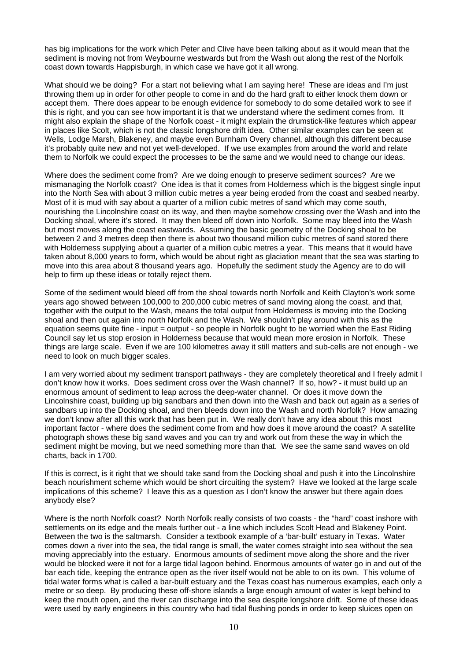has big implications for the work which Peter and Clive have been talking about as it would mean that the sediment is moving not from Weybourne westwards but from the Wash out along the rest of the Norfolk coast down towards Happisburgh, in which case we have got it all wrong.

What should we be doing? For a start not believing what I am saying here! These are ideas and I'm just throwing them up in order for other people to come in and do the hard graft to either knock them down or accept them. There does appear to be enough evidence for somebody to do some detailed work to see if this is right, and you can see how important it is that we understand where the sediment comes from. It might also explain the shape of the Norfolk coast - it might explain the drumstick-like features which appear in places like Scolt, which is not the classic longshore drift idea. Other similar examples can be seen at Wells, Lodge Marsh, Blakeney, and maybe even Burnham Overy channel, although this different because it's probably quite new and not yet well-developed. If we use examples from around the world and relate them to Norfolk we could expect the processes to be the same and we would need to change our ideas.

Where does the sediment come from? Are we doing enough to preserve sediment sources? Are we mismanaging the Norfolk coast? One idea is that it comes from Holderness which is the biggest single input into the North Sea with about 3 million cubic metres a year being eroded from the coast and seabed nearby. Most of it is mud with say about a quarter of a million cubic metres of sand which may come south, nourishing the Lincolnshire coast on its way, and then maybe somehow crossing over the Wash and into the Docking shoal, where it's stored. It may then bleed off down into Norfolk. Some may bleed into the Wash but most moves along the coast eastwards. Assuming the basic geometry of the Docking shoal to be between 2 and 3 metres deep then there is about two thousand million cubic metres of sand stored there with Holderness supplying about a quarter of a million cubic metres a year. This means that it would have taken about 8,000 years to form, which would be about right as glaciation meant that the sea was starting to move into this area about 8 thousand years ago. Hopefully the sediment study the Agency are to do will help to firm up these ideas or totally reject them.

Some of the sediment would bleed off from the shoal towards north Norfolk and Keith Clayton's work some years ago showed between 100,000 to 200,000 cubic metres of sand moving along the coast, and that, together with the output to the Wash, means the total output from Holderness is moving into the Docking shoal and then out again into north Norfolk and the Wash. We shouldn't play around with this as the equation seems quite fine - input = output - so people in Norfolk ought to be worried when the East Riding Council say let us stop erosion in Holderness because that would mean more erosion in Norfolk. These things are large scale. Even if we are 100 kilometres away it still matters and sub-cells are not enough - we need to look on much bigger scales.

I am very worried about my sediment transport pathways - they are completely theoretical and I freely admit I don't know how it works. Does sediment cross over the Wash channel? If so, how? - it must build up an enormous amount of sediment to leap across the deep-water channel. Or does it move down the Lincolnshire coast, building up big sandbars and then down into the Wash and back out again as a series of sandbars up into the Docking shoal, and then bleeds down into the Wash and north Norfolk? How amazing we don't know after all this work that has been put in. We really don't have any idea about this most important factor - where does the sediment come from and how does it move around the coast? A satellite photograph shows these big sand waves and you can try and work out from these the way in which the sediment might be moving, but we need something more than that. We see the same sand waves on old charts, back in 1700.

If this is correct, is it right that we should take sand from the Docking shoal and push it into the Lincolnshire beach nourishment scheme which would be short circuiting the system? Have we looked at the large scale implications of this scheme? I leave this as a question as I don't know the answer but there again does anybody else?

Where is the north Norfolk coast? North Norfolk really consists of two coasts - the "hard" coast inshore with settlements on its edge and the meals further out - a line which includes Scolt Head and Blakeney Point. Between the two is the saltmarsh. Consider a textbook example of a 'bar-built' estuary in Texas. Water comes down a river into the sea, the tidal range is small, the water comes straight into sea without the sea moving appreciably into the estuary. Enormous amounts of sediment move along the shore and the river would be blocked were it not for a large tidal lagoon behind. Enormous amounts of water go in and out of the bar each tide, keeping the entrance open as the river itself would not be able to on its own. This volume of tidal water forms what is called a bar-built estuary and the Texas coast has numerous examples, each only a metre or so deep. By producing these off-shore islands a large enough amount of water is kept behind to keep the mouth open, and the river can discharge into the sea despite longshore drift. Some of these ideas were used by early engineers in this country who had tidal flushing ponds in order to keep sluices open on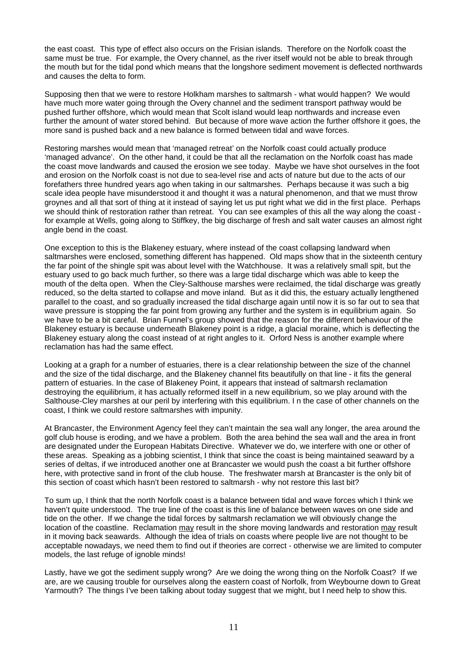the east coast. This type of effect also occurs on the Frisian islands. Therefore on the Norfolk coast the same must be true. For example, the Overy channel, as the river itself would not be able to break through the mouth but for the tidal pond which means that the longshore sediment movement is deflected northwards and causes the delta to form.

Supposing then that we were to restore Holkham marshes to saltmarsh - what would happen? We would have much more water going through the Overy channel and the sediment transport pathway would be pushed further offshore, which would mean that Scolt island would leap northwards and increase even further the amount of water stored behind. But because of more wave action the further offshore it goes, the more sand is pushed back and a new balance is formed between tidal and wave forces.

Restoring marshes would mean that 'managed retreat' on the Norfolk coast could actually produce 'managed advance'. On the other hand, it could be that all the reclamation on the Norfolk coast has made the coast move landwards and caused the erosion we see today. Maybe we have shot ourselves in the foot and erosion on the Norfolk coast is not due to sea-level rise and acts of nature but due to the acts of our forefathers three hundred years ago when taking in our saltmarshes. Perhaps because it was such a big scale idea people have misunderstood it and thought it was a natural phenomenon, and that we must throw groynes and all that sort of thing at it instead of saying let us put right what we did in the first place. Perhaps we should think of restoration rather than retreat. You can see examples of this all the way along the coast for example at Wells, going along to Stiffkey, the big discharge of fresh and salt water causes an almost right angle bend in the coast.

One exception to this is the Blakeney estuary, where instead of the coast collapsing landward when saltmarshes were enclosed, something different has happened. Old maps show that in the sixteenth century the far point of the shingle spit was about level with the Watchhouse. It was a relatively small spit, but the estuary used to go back much further, so there was a large tidal discharge which was able to keep the mouth of the delta open. When the Cley-Salthouse marshes were reclaimed, the tidal discharge was greatly reduced, so the delta started to collapse and move inland. But as it did this, the estuary actually lengthened parallel to the coast, and so gradually increased the tidal discharge again until now it is so far out to sea that wave pressure is stopping the far point from growing any further and the system is in equilibrium again. So we have to be a bit careful. Brian Funnel's group showed that the reason for the different behaviour of the Blakeney estuary is because underneath Blakeney point is a ridge, a glacial moraine, which is deflecting the Blakeney estuary along the coast instead of at right angles to it. Orford Ness is another example where reclamation has had the same effect.

Looking at a graph for a number of estuaries, there is a clear relationship between the size of the channel and the size of the tidal discharge, and the Blakeney channel fits beautifully on that line - it fits the general pattern of estuaries. In the case of Blakeney Point, it appears that instead of saltmarsh reclamation destroying the equilibrium, it has actually reformed itself in a new equilibrium, so we play around with the Salthouse-Cley marshes at our peril by interfering with this equilibrium. I n the case of other channels on the coast, I think we could restore saltmarshes with impunity.

At Brancaster, the Environment Agency feel they can't maintain the sea wall any longer, the area around the golf club house is eroding, and we have a problem. Both the area behind the sea wall and the area in front are designated under the European Habitats Directive. Whatever we do, we interfere with one or other of these areas. Speaking as a jobbing scientist, I think that since the coast is being maintained seaward by a series of deltas, if we introduced another one at Brancaster we would push the coast a bit further offshore here, with protective sand in front of the club house. The freshwater marsh at Brancaster is the only bit of this section of coast which hasn't been restored to saltmarsh - why not restore this last bit?

To sum up, I think that the north Norfolk coast is a balance between tidal and wave forces which I think we haven't quite understood. The true line of the coast is this line of balance between waves on one side and tide on the other. If we change the tidal forces by saltmarsh reclamation we will obviously change the location of the coastline. Reclamation may result in the shore moving landwards and restoration may result in it moving back seawards. Although the idea of trials on coasts where people live are not thought to be acceptable nowadays, we need them to find out if theories are correct - otherwise we are limited to computer models, the last refuge of ignoble minds!

Lastly, have we got the sediment supply wrong? Are we doing the wrong thing on the Norfolk Coast? If we are, are we causing trouble for ourselves along the eastern coast of Norfolk, from Weybourne down to Great Yarmouth? The things I've been talking about today suggest that we might, but I need help to show this.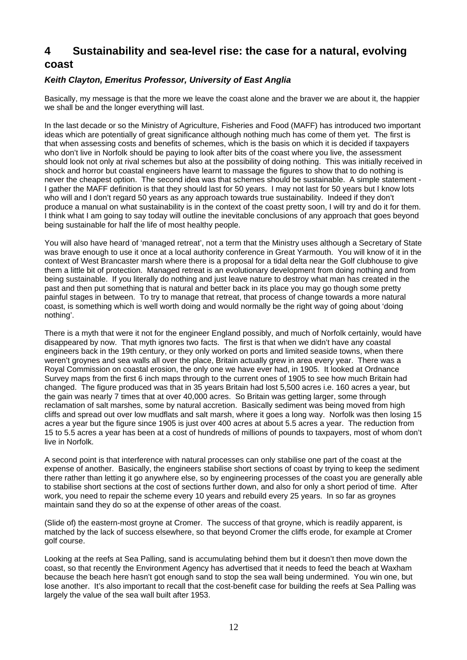## **4 Sustainability and sea-level rise: the case for a natural, evolving coast**

## *Keith Clayton, Emeritus Professor, University of East Anglia*

Basically, my message is that the more we leave the coast alone and the braver we are about it, the happier we shall be and the longer everything will last.

In the last decade or so the Ministry of Agriculture, Fisheries and Food (MAFF) has introduced two important ideas which are potentially of great significance although nothing much has come of them yet. The first is that when assessing costs and benefits of schemes, which is the basis on which it is decided if taxpayers who don't live in Norfolk should be paying to look after bits of the coast where you live, the assessment should look not only at rival schemes but also at the possibility of doing nothing. This was initially received in shock and horror but coastal engineers have learnt to massage the figures to show that to do nothing is never the cheapest option. The second idea was that schemes should be sustainable. A simple statement - I gather the MAFF definition is that they should last for 50 years. I may not last for 50 years but I know lots who will and I don't regard 50 years as any approach towards true sustainability. Indeed if they don't produce a manual on what sustainability is in the context of the coast pretty soon, I will try and do it for them. I think what I am going to say today will outline the inevitable conclusions of any approach that goes beyond being sustainable for half the life of most healthy people.

You will also have heard of 'managed retreat', not a term that the Ministry uses although a Secretary of State was brave enough to use it once at a local authority conference in Great Yarmouth. You will know of it in the context of West Brancaster marsh where there is a proposal for a tidal delta near the Golf clubhouse to give them a little bit of protection. Managed retreat is an evolutionary development from doing nothing and from being sustainable. If you literally do nothing and just leave nature to destroy what man has created in the past and then put something that is natural and better back in its place you may go though some pretty painful stages in between. To try to manage that retreat, that process of change towards a more natural coast, is something which is well worth doing and would normally be the right way of going about 'doing nothing'.

There is a myth that were it not for the engineer England possibly, and much of Norfolk certainly, would have disappeared by now. That myth ignores two facts. The first is that when we didn't have any coastal engineers back in the 19th century, or they only worked on ports and limited seaside towns, when there weren't groynes and sea walls all over the place, Britain actually grew in area every year. There was a Royal Commission on coastal erosion, the only one we have ever had, in 1905. It looked at Ordnance Survey maps from the first 6 inch maps through to the current ones of 1905 to see how much Britain had changed. The figure produced was that in 35 years Britain had lost 5,500 acres i.e. 160 acres a year, but the gain was nearly 7 times that at over 40,000 acres. So Britain was getting larger, some through reclamation of salt marshes, some by natural accretion. Basically sediment was being moved from high cliffs and spread out over low mudflats and salt marsh, where it goes a long way. Norfolk was then losing 15 acres a year but the figure since 1905 is just over 400 acres at about 5.5 acres a year. The reduction from 15 to 5.5 acres a year has been at a cost of hundreds of millions of pounds to taxpayers, most of whom don't live in Norfolk.

A second point is that interference with natural processes can only stabilise one part of the coast at the expense of another. Basically, the engineers stabilise short sections of coast by trying to keep the sediment there rather than letting it go anywhere else, so by engineering processes of the coast you are generally able to stabilise short sections at the cost of sections further down, and also for only a short period of time. After work, you need to repair the scheme every 10 years and rebuild every 25 years. In so far as groynes maintain sand they do so at the expense of other areas of the coast.

(Slide of) the eastern-most groyne at Cromer. The success of that groyne, which is readily apparent, is matched by the lack of success elsewhere, so that beyond Cromer the cliffs erode, for example at Cromer golf course.

Looking at the reefs at Sea Palling, sand is accumulating behind them but it doesn't then move down the coast, so that recently the Environment Agency has advertised that it needs to feed the beach at Waxham because the beach here hasn't got enough sand to stop the sea wall being undermined. You win one, but lose another. It's also important to recall that the cost-benefit case for building the reefs at Sea Palling was largely the value of the sea wall built after 1953.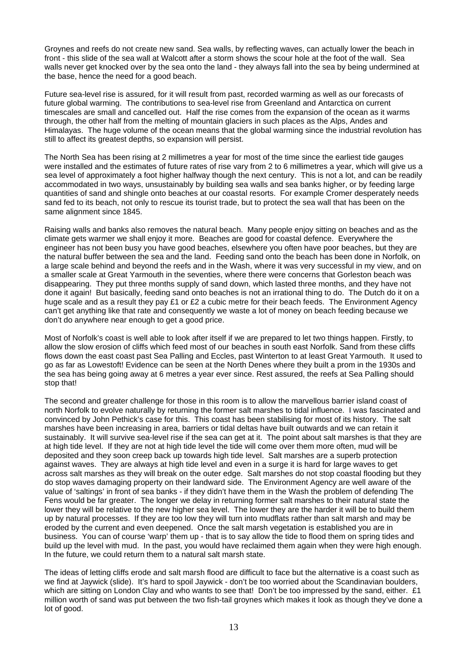Groynes and reefs do not create new sand. Sea walls, by reflecting waves, can actually lower the beach in front - this slide of the sea wall at Walcott after a storm shows the scour hole at the foot of the wall. Sea walls never get knocked over by the sea onto the land - they always fall into the sea by being undermined at the base, hence the need for a good beach.

Future sea-level rise is assured, for it will result from past, recorded warming as well as our forecasts of future global warming. The contributions to sea-level rise from Greenland and Antarctica on current timescales are small and cancelled out. Half the rise comes from the expansion of the ocean as it warms through, the other half from the melting of mountain glaciers in such places as the Alps, Andes and Himalayas. The huge volume of the ocean means that the global warming since the industrial revolution has still to affect its greatest depths, so expansion will persist.

The North Sea has been rising at 2 millimetres a year for most of the time since the earliest tide gauges were installed and the estimates of future rates of rise vary from 2 to 6 millimetres a year, which will give us a sea level of approximately a foot higher halfway though the next century. This is not a lot, and can be readily accommodated in two ways, unsustainably by building sea walls and sea banks higher, or by feeding large quantities of sand and shingle onto beaches at our coastal resorts. For example Cromer desperately needs sand fed to its beach, not only to rescue its tourist trade, but to protect the sea wall that has been on the same alignment since 1845.

Raising walls and banks also removes the natural beach. Many people enjoy sitting on beaches and as the climate gets warmer we shall enjoy it more. Beaches are good for coastal defence. Everywhere the engineer has not been busy you have good beaches, elsewhere you often have poor beaches, but they are the natural buffer between the sea and the land. Feeding sand onto the beach has been done in Norfolk, on a large scale behind and beyond the reefs and in the Wash, where it was very successful in my view, and on a smaller scale at Great Yarmouth in the seventies, where there were concerns that Gorleston beach was disappearing. They put three months supply of sand down, which lasted three months, and they have not done it again! But basically, feeding sand onto beaches is not an irrational thing to do. The Dutch do it on a huge scale and as a result they pay £1 or £2 a cubic metre for their beach feeds. The Environment Agency can't get anything like that rate and consequently we waste a lot of money on beach feeding because we don't do anywhere near enough to get a good price.

Most of Norfolk's coast is well able to look after itself if we are prepared to let two things happen. Firstly, to allow the slow erosion of cliffs which feed most of our beaches in south east Norfolk. Sand from these cliffs flows down the east coast past Sea Palling and Eccles, past Winterton to at least Great Yarmouth. It used to go as far as Lowestoft! Evidence can be seen at the North Denes where they built a prom in the 1930s and the sea has being going away at 6 metres a year ever since. Rest assured, the reefs at Sea Palling should stop that!

The second and greater challenge for those in this room is to allow the marvellous barrier island coast of north Norfolk to evolve naturally by returning the former salt marshes to tidal influence. I was fascinated and convinced by John Pethick's case for this. This coast has been stabilising for most of its history. The salt marshes have been increasing in area, barriers or tidal deltas have built outwards and we can retain it sustainably. It will survive sea-level rise if the sea can get at it. The point about salt marshes is that they are at high tide level. If they are not at high tide level the tide will come over them more often, mud will be deposited and they soon creep back up towards high tide level. Salt marshes are a superb protection against waves. They are always at high tide level and even in a surge it is hard for large waves to get across salt marshes as they will break on the outer edge. Salt marshes do not stop coastal flooding but they do stop waves damaging property on their landward side. The Environment Agency are well aware of the value of 'saltings' in front of sea banks - if they didn't have them in the Wash the problem of defending The Fens would be far greater. The longer we delay in returning former salt marshes to their natural state the lower they will be relative to the new higher sea level. The lower they are the harder it will be to build them up by natural processes. If they are too low they will turn into mudflats rather than salt marsh and may be eroded by the current and even deepened. Once the salt marsh vegetation is established you are in business. You can of course 'warp' them up - that is to say allow the tide to flood them on spring tides and build up the level with mud. In the past, you would have reclaimed them again when they were high enough. In the future, we could return them to a natural salt marsh state.

The ideas of letting cliffs erode and salt marsh flood are difficult to face but the alternative is a coast such as we find at Jaywick (slide). It's hard to spoil Jaywick - don't be too worried about the Scandinavian boulders, which are sitting on London Clay and who wants to see that! Don't be too impressed by the sand, either. £1 million worth of sand was put between the two fish-tail groynes which makes it look as though they've done a lot of good.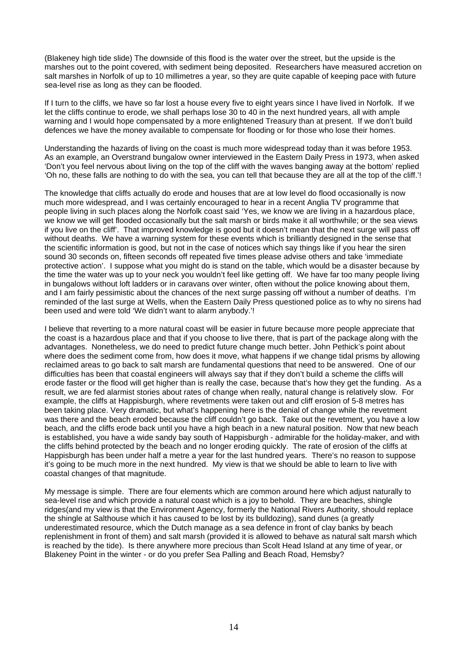(Blakeney high tide slide) The downside of this flood is the water over the street, but the upside is the marshes out to the point covered, with sediment being deposited. Researchers have measured accretion on salt marshes in Norfolk of up to 10 millimetres a year, so they are quite capable of keeping pace with future sea-level rise as long as they can be flooded.

If I turn to the cliffs, we have so far lost a house every five to eight years since I have lived in Norfolk. If we let the cliffs continue to erode, we shall perhaps lose 30 to 40 in the next hundred years, all with ample warning and I would hope compensated by a more enlightened Treasury than at present. If we don't build defences we have the money available to compensate for flooding or for those who lose their homes.

Understanding the hazards of living on the coast is much more widespread today than it was before 1953. As an example, an Overstrand bungalow owner interviewed in the Eastern Daily Press in 1973, when asked 'Don't you feel nervous about living on the top of the cliff with the waves banging away at the bottom' replied 'Oh no, these falls are nothing to do with the sea, you can tell that because they are all at the top of the cliff.'!

The knowledge that cliffs actually do erode and houses that are at low level do flood occasionally is now much more widespread, and I was certainly encouraged to hear in a recent Anglia TV programme that people living in such places along the Norfolk coast said 'Yes, we know we are living in a hazardous place, we know we will get flooded occasionally but the salt marsh or birds make it all worthwhile; or the sea views if you live on the cliff'. That improved knowledge is good but it doesn't mean that the next surge will pass off without deaths. We have a warning system for these events which is brilliantly designed in the sense that the scientific information is good, but not in the case of notices which say things like if you hear the siren sound 30 seconds on, fifteen seconds off repeated five times please advise others and take 'immediate protective action'. I suppose what you might do is stand on the table, which would be a disaster because by the time the water was up to your neck you wouldn't feel like getting off. We have far too many people living in bungalows without loft ladders or in caravans over winter, often without the police knowing about them, and I am fairly pessimistic about the chances of the next surge passing off without a number of deaths. I'm reminded of the last surge at Wells, when the Eastern Daily Press questioned police as to why no sirens had been used and were told 'We didn't want to alarm anybody.'!

I believe that reverting to a more natural coast will be easier in future because more people appreciate that the coast is a hazardous place and that if you choose to live there, that is part of the package along with the advantages. Nonetheless, we do need to predict future change much better. John Pethick's point about where does the sediment come from, how does it move, what happens if we change tidal prisms by allowing reclaimed areas to go back to salt marsh are fundamental questions that need to be answered. One of our difficulties has been that coastal engineers will always say that if they don't build a scheme the cliffs will erode faster or the flood will get higher than is really the case, because that's how they get the funding. As a result, we are fed alarmist stories about rates of change when really, natural change is relatively slow. For example, the cliffs at Happisburgh, where revetments were taken out and cliff erosion of 5-8 metres has been taking place. Very dramatic, but what's happening here is the denial of change while the revetment was there and the beach eroded because the cliff couldn't go back. Take out the revetment, you have a low beach, and the cliffs erode back until you have a high beach in a new natural position. Now that new beach is established, you have a wide sandy bay south of Happisburgh - admirable for the holiday-maker, and with the cliffs behind protected by the beach and no longer eroding quickly. The rate of erosion of the cliffs at Happisburgh has been under half a metre a year for the last hundred years. There's no reason to suppose it's going to be much more in the next hundred. My view is that we should be able to learn to live with coastal changes of that magnitude.

My message is simple. There are four elements which are common around here which adjust naturally to sea-level rise and which provide a natural coast which is a joy to behold. They are beaches, shingle ridges(and my view is that the Environment Agency, formerly the National Rivers Authority, should replace the shingle at Salthouse which it has caused to be lost by its bulldozing), sand dunes (a greatly underestimated resource, which the Dutch manage as a sea defence in front of clay banks by beach replenishment in front of them) and salt marsh (provided it is allowed to behave as natural salt marsh which is reached by the tide). Is there anywhere more precious than Scolt Head Island at any time of year, or Blakeney Point in the winter - or do you prefer Sea Palling and Beach Road, Hemsby?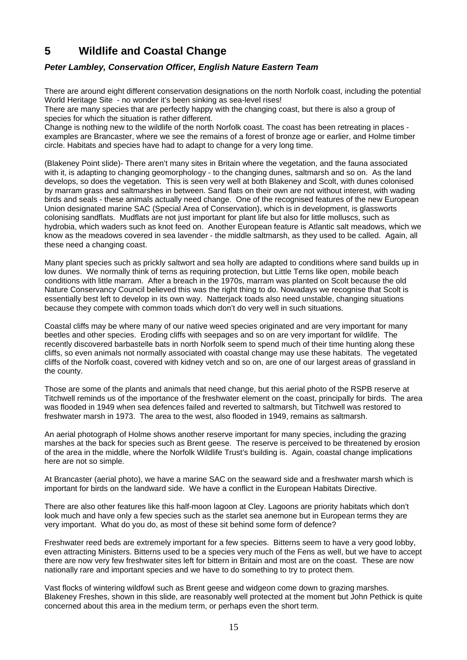## **5 Wildlife and Coastal Change**

## *Peter Lambley, Conservation Officer, English Nature Eastern Team*

There are around eight different conservation designations on the north Norfolk coast, including the potential World Heritage Site - no wonder it's been sinking as sea-level rises!

There are many species that are perfectly happy with the changing coast, but there is also a group of species for which the situation is rather different.

Change is nothing new to the wildlife of the north Norfolk coast. The coast has been retreating in places examples are Brancaster, where we see the remains of a forest of bronze age or earlier, and Holme timber circle. Habitats and species have had to adapt to change for a very long time.

(Blakeney Point slide)- There aren't many sites in Britain where the vegetation, and the fauna associated with it, is adapting to changing geomorphology - to the changing dunes, saltmarsh and so on. As the land develops, so does the vegetation. This is seen very well at both Blakeney and Scolt, with dunes colonised by marram grass and saltmarshes in between. Sand flats on their own are not without interest, with wading birds and seals - these animals actually need change. One of the recognised features of the new European Union designated marine SAC (Special Area of Conservation), which is in development, is glassworts colonising sandflats. Mudflats are not just important for plant life but also for little molluscs, such as hydrobia, which waders such as knot feed on. Another European feature is Atlantic salt meadows, which we know as the meadows covered in sea lavender - the middle saltmarsh, as they used to be called. Again, all these need a changing coast.

Many plant species such as prickly saltwort and sea holly are adapted to conditions where sand builds up in low dunes. We normally think of terns as requiring protection, but Little Terns like open, mobile beach conditions with little marram. After a breach in the 1970s, marram was planted on Scolt because the old Nature Conservancy Council believed this was the right thing to do. Nowadays we recognise that Scolt is essentially best left to develop in its own way. Natterjack toads also need unstable, changing situations because they compete with common toads which don't do very well in such situations.

Coastal cliffs may be where many of our native weed species originated and are very important for many beetles and other species. Eroding cliffs with seepages and so on are very important for wildlife. The recently discovered barbastelle bats in north Norfolk seem to spend much of their time hunting along these cliffs, so even animals not normally associated with coastal change may use these habitats. The vegetated cliffs of the Norfolk coast, covered with kidney vetch and so on, are one of our largest areas of grassland in the county.

Those are some of the plants and animals that need change, but this aerial photo of the RSPB reserve at Titchwell reminds us of the importance of the freshwater element on the coast, principally for birds. The area was flooded in 1949 when sea defences failed and reverted to saltmarsh, but Titchwell was restored to freshwater marsh in 1973. The area to the west, also flooded in 1949, remains as saltmarsh.

An aerial photograph of Holme shows another reserve important for many species, including the grazing marshes at the back for species such as Brent geese. The reserve is perceived to be threatened by erosion of the area in the middle, where the Norfolk Wildlife Trust's building is. Again, coastal change implications here are not so simple.

At Brancaster (aerial photo), we have a marine SAC on the seaward side and a freshwater marsh which is important for birds on the landward side. We have a conflict in the European Habitats Directive.

There are also other features like this half-moon lagoon at Cley. Lagoons are priority habitats which don't look much and have only a few species such as the starlet sea anemone but in European terms they are very important. What do you do, as most of these sit behind some form of defence?

Freshwater reed beds are extremely important for a few species. Bitterns seem to have a very good lobby, even attracting Ministers. Bitterns used to be a species very much of the Fens as well, but we have to accept there are now very few freshwater sites left for bittern in Britain and most are on the coast. These are now nationally rare and important species and we have to do something to try to protect them.

Vast flocks of wintering wildfowl such as Brent geese and widgeon come down to grazing marshes. Blakeney Freshes, shown in this slide, are reasonably well protected at the moment but John Pethick is quite concerned about this area in the medium term, or perhaps even the short term.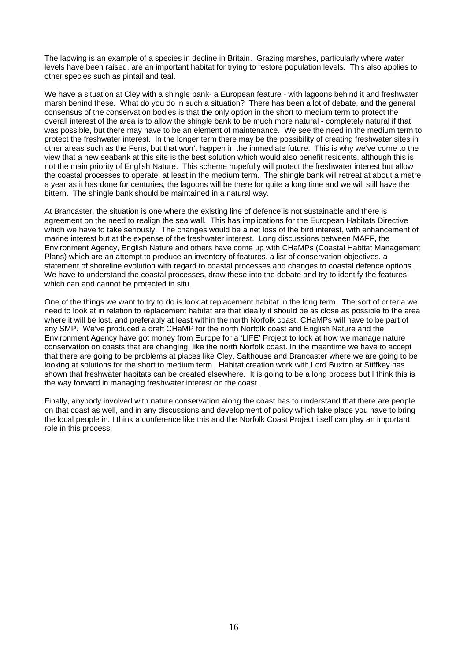The lapwing is an example of a species in decline in Britain. Grazing marshes, particularly where water levels have been raised, are an important habitat for trying to restore population levels. This also applies to other species such as pintail and teal.

We have a situation at Cley with a shingle bank- a European feature - with lagoons behind it and freshwater marsh behind these. What do you do in such a situation? There has been a lot of debate, and the general consensus of the conservation bodies is that the only option in the short to medium term to protect the overall interest of the area is to allow the shingle bank to be much more natural - completely natural if that was possible, but there may have to be an element of maintenance. We see the need in the medium term to protect the freshwater interest. In the longer term there may be the possibility of creating freshwater sites in other areas such as the Fens, but that won't happen in the immediate future. This is why we've come to the view that a new seabank at this site is the best solution which would also benefit residents, although this is not the main priority of English Nature. This scheme hopefully will protect the freshwater interest but allow the coastal processes to operate, at least in the medium term. The shingle bank will retreat at about a metre a year as it has done for centuries, the lagoons will be there for quite a long time and we will still have the bittern. The shingle bank should be maintained in a natural way.

At Brancaster, the situation is one where the existing line of defence is not sustainable and there is agreement on the need to realign the sea wall. This has implications for the European Habitats Directive which we have to take seriously. The changes would be a net loss of the bird interest, with enhancement of marine interest but at the expense of the freshwater interest. Long discussions between MAFF, the Environment Agency, English Nature and others have come up with CHaMPs (Coastal Habitat Management Plans) which are an attempt to produce an inventory of features, a list of conservation objectives, a statement of shoreline evolution with regard to coastal processes and changes to coastal defence options. We have to understand the coastal processes, draw these into the debate and try to identify the features which can and cannot be protected in situ.

One of the things we want to try to do is look at replacement habitat in the long term. The sort of criteria we need to look at in relation to replacement habitat are that ideally it should be as close as possible to the area where it will be lost, and preferably at least within the north Norfolk coast. CHaMPs will have to be part of any SMP. We've produced a draft CHaMP for the north Norfolk coast and English Nature and the Environment Agency have got money from Europe for a 'LIFE' Project to look at how we manage nature conservation on coasts that are changing, like the north Norfolk coast. In the meantime we have to accept that there are going to be problems at places like Cley, Salthouse and Brancaster where we are going to be looking at solutions for the short to medium term. Habitat creation work with Lord Buxton at Stiffkey has shown that freshwater habitats can be created elsewhere. It is going to be a long process but I think this is the way forward in managing freshwater interest on the coast.

Finally, anybody involved with nature conservation along the coast has to understand that there are people on that coast as well, and in any discussions and development of policy which take place you have to bring the local people in. I think a conference like this and the Norfolk Coast Project itself can play an important role in this process.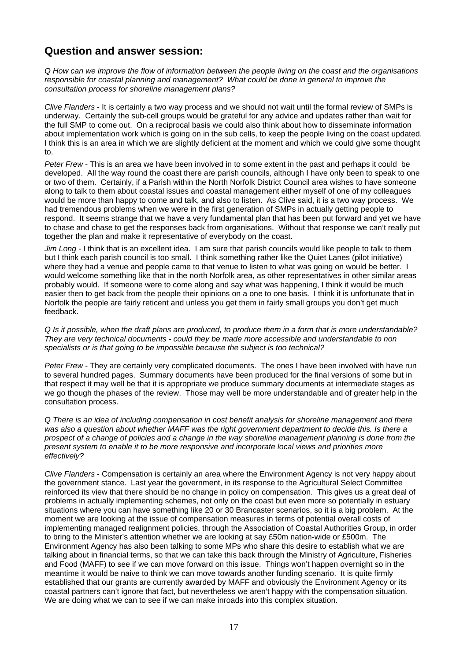## **Question and answer session:**

*Q How can we improve the flow of information between the people living on the coast and the organisations responsible for coastal planning and management? What could be done in general to improve the consultation process for shoreline management plans?* 

*Clive Flanders* - It is certainly a two way process and we should not wait until the formal review of SMPs is underway. Certainly the sub-cell groups would be grateful for any advice and updates rather than wait for the full SMP to come out. On a reciprocal basis we could also think about how to disseminate information about implementation work which is going on in the sub cells, to keep the people living on the coast updated. I think this is an area in which we are slightly deficient at the moment and which we could give some thought to.

*Peter Frew* - This is an area we have been involved in to some extent in the past and perhaps it could be developed. All the way round the coast there are parish councils, although I have only been to speak to one or two of them. Certainly, if a Parish within the North Norfolk District Council area wishes to have someone along to talk to them about coastal issues and coastal management either myself of one of my colleagues would be more than happy to come and talk, and also to listen. As Clive said, it is a two way process. We had tremendous problems when we were in the first generation of SMPs in actually getting people to respond. It seems strange that we have a very fundamental plan that has been put forward and yet we have to chase and chase to get the responses back from organisations. Without that response we can't really put together the plan and make it representative of everybody on the coast.

*Jim Long* - I think that is an excellent idea. I am sure that parish councils would like people to talk to them but I think each parish council is too small. I think something rather like the Quiet Lanes (pilot initiative) where they had a venue and people came to that venue to listen to what was going on would be better. I would welcome something like that in the north Norfolk area, as other representatives in other similar areas probably would. If someone were to come along and say what was happening, I think it would be much easier then to get back from the people their opinions on a one to one basis. I think it is unfortunate that in Norfolk the people are fairly reticent and unless you get them in fairly small groups you don't get much feedback.

*Q Is it possible, when the draft plans are produced, to produce them in a form that is more understandable? They are very technical documents - could they be made more accessible and understandable to non specialists or is that going to be impossible because the subject is too technical?* 

*Peter Frew* - They are certainly very complicated documents. The ones I have been involved with have run to several hundred pages. Summary documents have been produced for the final versions of some but in that respect it may well be that it is appropriate we produce summary documents at intermediate stages as we go though the phases of the review. Those may well be more understandable and of greater help in the consultation process.

*Q There is an idea of including compensation in cost benefit analysis for shoreline management and there was also a question about whether MAFF was the right government department to decide this. Is there a prospect of a change of policies and a change in the way shoreline management planning is done from the present system to enable it to be more responsive and incorporate local views and priorities more effectively?* 

*Clive Flanders* - Compensation is certainly an area where the Environment Agency is not very happy about the government stance. Last year the government, in its response to the Agricultural Select Committee reinforced its view that there should be no change in policy on compensation. This gives us a great deal of problems in actually implementing schemes, not only on the coast but even more so potentially in estuary situations where you can have something like 20 or 30 Brancaster scenarios, so it is a big problem. At the moment we are looking at the issue of compensation measures in terms of potential overall costs of implementing managed realignment policies, through the Association of Coastal Authorities Group, in order to bring to the Minister's attention whether we are looking at say £50m nation-wide or £500m. The Environment Agency has also been talking to some MPs who share this desire to establish what we are talking about in financial terms, so that we can take this back through the Ministry of Agriculture, Fisheries and Food (MAFF) to see if we can move forward on this issue. Things won't happen overnight so in the meantime it would be naive to think we can move towards another funding scenario. It is quite firmly established that our grants are currently awarded by MAFF and obviously the Environment Agency or its coastal partners can't ignore that fact, but nevertheless we aren't happy with the compensation situation. We are doing what we can to see if we can make inroads into this complex situation.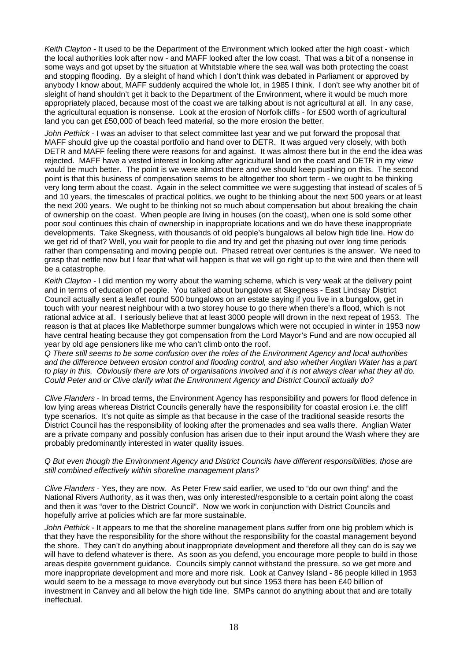*Keith Clayton* - It used to be the Department of the Environment which looked after the high coast - which the local authorities look after now - and MAFF looked after the low coast. That was a bit of a nonsense in some ways and got upset by the situation at Whitstable where the sea wall was both protecting the coast and stopping flooding. By a sleight of hand which I don't think was debated in Parliament or approved by anybody I know about, MAFF suddenly acquired the whole lot, in 1985 I think. I don't see why another bit of sleight of hand shouldn't get it back to the Department of the Environment, where it would be much more appropriately placed, because most of the coast we are talking about is not agricultural at all. In any case, the agricultural equation is nonsense. Look at the erosion of Norfolk cliffs - for £500 worth of agricultural land you can get £50,000 of beach feed material, so the more erosion the better.

*John Pethick* - I was an adviser to that select committee last year and we put forward the proposal that MAFF should give up the coastal portfolio and hand over to DETR. It was argued very closely, with both DETR and MAFF feeling there were reasons for and against. It was almost there but in the end the idea was rejected. MAFF have a vested interest in looking after agricultural land on the coast and DETR in my view would be much better. The point is we were almost there and we should keep pushing on this. The second point is that this business of compensation seems to be altogether too short term - we ought to be thinking very long term about the coast. Again in the select committee we were suggesting that instead of scales of 5 and 10 years, the timescales of practical politics, we ought to be thinking about the next 500 years or at least the next 200 years. We ought to be thinking not so much about compensation but about breaking the chain of ownership on the coast. When people are living in houses (on the coast), when one is sold some other poor soul continues this chain of ownership in inappropriate locations and we do have these inappropriate developments. Take Skegness, with thousands of old people's bungalows all below high tide line. How do we get rid of that? Well, you wait for people to die and try and get the phasing out over long time periods rather than compensating and moving people out. Phased retreat over centuries is the answer. We need to grasp that nettle now but I fear that what will happen is that we will go right up to the wire and then there will be a catastrophe.

*Keith Clayton* - I did mention my worry about the warning scheme, which is very weak at the delivery point and in terms of education of people. You talked about bungalows at Skegness - East Lindsay District Council actually sent a leaflet round 500 bungalows on an estate saying if you live in a bungalow, get in touch with your nearest neighbour with a two storey house to go there when there's a flood, which is not rational advice at all. I seriously believe that at least 3000 people will drown in the next repeat of 1953. The reason is that at places like Mablethorpe summer bungalows which were not occupied in winter in 1953 now have central heating because they got compensation from the Lord Mayor's Fund and are now occupied all year by old age pensioners like me who can't climb onto the roof.

*Q There still seems to be some confusion over the roles of the Environment Agency and local authorities and the difference between erosion control and flooding control, and also whether Anglian Water has a part to play in this. Obviously there are lots of organisations involved and it is not always clear what they all do. Could Peter and or Clive clarify what the Environment Agency and District Council actually do?* 

*Clive Flanders* - In broad terms, the Environment Agency has responsibility and powers for flood defence in low lying areas whereas District Councils generally have the responsibility for coastal erosion i.e. the cliff type scenarios. It's not quite as simple as that because in the case of the traditional seaside resorts the District Council has the responsibility of looking after the promenades and sea walls there. Anglian Water are a private company and possibly confusion has arisen due to their input around the Wash where they are probably predominantly interested in water quality issues.

#### *Q But even though the Environment Agency and District Councils have different responsibilities, those are still combined effectively within shoreline management plans?*

*Clive Flanders* - Yes, they are now. As Peter Frew said earlier, we used to "do our own thing" and the National Rivers Authority, as it was then, was only interested/responsible to a certain point along the coast and then it was "over to the District Council". Now we work in conjunction with District Councils and hopefully arrive at policies which are far more sustainable.

*John Pethick* - It appears to me that the shoreline management plans suffer from one big problem which is that they have the responsibility for the shore without the responsibility for the coastal management beyond the shore. They can't do anything about inappropriate development and therefore all they can do is say we will have to defend whatever is there. As soon as you defend, you encourage more people to build in those areas despite government guidance. Councils simply cannot withstand the pressure, so we get more and more inappropriate development and more and more risk. Look at Canvey Island - 86 people killed in 1953 would seem to be a message to move everybody out but since 1953 there has been £40 billion of investment in Canvey and all below the high tide line. SMPs cannot do anything about that and are totally ineffectual.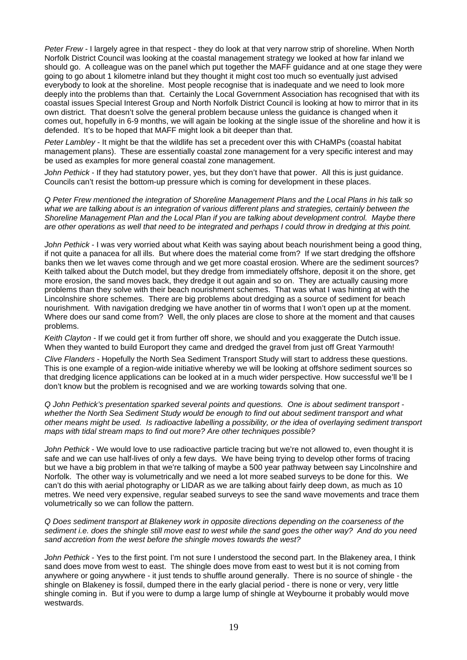*Peter Frew* - I largely agree in that respect - they do look at that very narrow strip of shoreline. When North Norfolk District Council was looking at the coastal management strategy we looked at how far inland we should go. A colleague was on the panel which put together the MAFF guidance and at one stage they were going to go about 1 kilometre inland but they thought it might cost too much so eventually just advised everybody to look at the shoreline. Most people recognise that is inadequate and we need to look more deeply into the problems than that. Certainly the Local Government Association has recognised that with its coastal issues Special Interest Group and North Norfolk District Council is looking at how to mirror that in its own district. That doesn't solve the general problem because unless the guidance is changed when it comes out, hopefully in 6-9 months, we will again be looking at the single issue of the shoreline and how it is defended. It's to be hoped that MAFF might look a bit deeper than that.

*Peter Lambley* - It might be that the wildlife has set a precedent over this with CHaMPs (coastal habitat management plans). These are essentially coastal zone management for a very specific interest and may be used as examples for more general coastal zone management.

*John Pethick* - If they had statutory power, yes, but they don't have that power. All this is just guidance. Councils can't resist the bottom-up pressure which is coming for development in these places.

*Q Peter Frew mentioned the integration of Shoreline Management Plans and the Local Plans in his talk so*  what we are talking about is an integration of various different plans and strategies, certainly between the *Shoreline Management Plan and the Local Plan if you are talking about development control. Maybe there are other operations as well that need to be integrated and perhaps I could throw in dredging at this point.* 

*John Pethick* - I was very worried about what Keith was saying about beach nourishment being a good thing, if not quite a panacea for all ills. But where does the material come from? If we start dredging the offshore banks then we let waves come through and we get more coastal erosion. Where are the sediment sources? Keith talked about the Dutch model, but they dredge from immediately offshore, deposit it on the shore, get more erosion, the sand moves back, they dredge it out again and so on. They are actually causing more problems than they solve with their beach nourishment schemes. That was what I was hinting at with the Lincolnshire shore schemes. There are big problems about dredging as a source of sediment for beach nourishment. With navigation dredging we have another tin of worms that I won't open up at the moment. Where does our sand come from? Well, the only places are close to shore at the moment and that causes problems.

*Keith Clayton* - If we could get it from further off shore, we should and you exaggerate the Dutch issue. When they wanted to build Europort they came and dredged the gravel from just off Great Yarmouth!

*Clive Flanders* - Hopefully the North Sea Sediment Transport Study will start to address these questions. This is one example of a region-wide initiative whereby we will be looking at offshore sediment sources so that dredging licence applications can be looked at in a much wider perspective. How successful we'll be I don't know but the problem is recognised and we are working towards solving that one.

*Q John Pethick's presentation sparked several points and questions. One is about sediment transport whether the North Sea Sediment Study would be enough to find out about sediment transport and what other means might be used. Is radioactive labelling a possibility, or the idea of overlaying sediment transport maps with tidal stream maps to find out more? Are other techniques possible?* 

*John Pethick* - We would love to use radioactive particle tracing but we're not allowed to, even thought it is safe and we can use half-lives of only a few days. We have being trying to develop other forms of tracing but we have a big problem in that we're talking of maybe a 500 year pathway between say Lincolnshire and Norfolk. The other way is volumetrically and we need a lot more seabed surveys to be done for this. We can't do this with aerial photography or LIDAR as we are talking about fairly deep down, as much as 10 metres. We need very expensive, regular seabed surveys to see the sand wave movements and trace them volumetrically so we can follow the pattern.

*Q Does sediment transport at Blakeney work in opposite directions depending on the coarseness of the sediment i.e. does the shingle still move east to west while the sand goes the other way? And do you need sand accretion from the west before the shingle moves towards the west?* 

*John Pethick* - Yes to the first point. I'm not sure I understood the second part. In the Blakeney area, I think sand does move from west to east. The shingle does move from east to west but it is not coming from anywhere or going anywhere - it just tends to shuffle around generally. There is no source of shingle - the shingle on Blakeney is fossil, dumped there in the early glacial period - there is none or very, very little shingle coming in. But if you were to dump a large lump of shingle at Weybourne it probably would move westwards.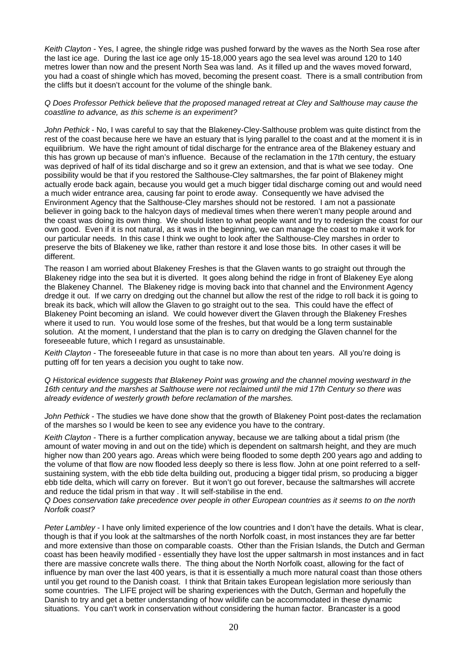*Keith Clayton* - Yes, I agree, the shingle ridge was pushed forward by the waves as the North Sea rose after the last ice age. During the last ice age only 15-18,000 years ago the sea level was around 120 to 140 metres lower than now and the present North Sea was land. As it filled up and the waves moved forward, you had a coast of shingle which has moved, becoming the present coast. There is a small contribution from the cliffs but it doesn't account for the volume of the shingle bank.

#### *Q Does Professor Pethick believe that the proposed managed retreat at Cley and Salthouse may cause the coastline to advance, as this scheme is an experiment?*

*John Pethick* - No, I was careful to say that the Blakeney-Cley-Salthouse problem was quite distinct from the rest of the coast because here we have an estuary that is lying parallel to the coast and at the moment it is in equilibrium. We have the right amount of tidal discharge for the entrance area of the Blakeney estuary and this has grown up because of man's influence. Because of the reclamation in the 17th century, the estuary was deprived of half of its tidal discharge and so it grew an extension, and that is what we see today. One possibility would be that if you restored the Salthouse-Cley saltmarshes, the far point of Blakeney might actually erode back again, because you would get a much bigger tidal discharge coming out and would need a much wider entrance area, causing far point to erode away. Consequently we have advised the Environment Agency that the Salthouse-Cley marshes should not be restored. I am not a passionate believer in going back to the halcyon days of medieval times when there weren't many people around and the coast was doing its own thing. We should listen to what people want and try to redesign the coast for our own good. Even if it is not natural, as it was in the beginning, we can manage the coast to make it work for our particular needs. In this case I think we ought to look after the Salthouse-Cley marshes in order to preserve the bits of Blakeney we like, rather than restore it and lose those bits. In other cases it will be different.

The reason I am worried about Blakeney Freshes is that the Glaven wants to go straight out through the Blakeney ridge into the sea but it is diverted. It goes along behind the ridge in front of Blakeney Eye along the Blakeney Channel. The Blakeney ridge is moving back into that channel and the Environment Agency dredge it out. If we carry on dredging out the channel but allow the rest of the ridge to roll back it is going to break its back, which will allow the Glaven to go straight out to the sea. This could have the effect of Blakeney Point becoming an island. We could however divert the Glaven through the Blakeney Freshes where it used to run. You would lose some of the freshes, but that would be a long term sustainable solution. At the moment, I understand that the plan is to carry on dredging the Glaven channel for the foreseeable future, which I regard as unsustainable.

*Keith Clayton* - The foreseeable future in that case is no more than about ten years. All you're doing is putting off for ten years a decision you ought to take now.

*Q Historical evidence suggests that Blakeney Point was growing and the channel moving westward in the 16th century and the marshes at Salthouse were not reclaimed until the mid 17th Century so there was already evidence of westerly growth before reclamation of the marshes.* 

*John Pethick* - The studies we have done show that the growth of Blakeney Point post-dates the reclamation of the marshes so I would be keen to see any evidence you have to the contrary.

*Keith Clayton* - There is a further complication anyway, because we are talking about a tidal prism (the amount of water moving in and out on the tide) which is dependent on saltmarsh height, and they are much higher now than 200 years ago. Areas which were being flooded to some depth 200 years ago and adding to the volume of that flow are now flooded less deeply so there is less flow. John at one point referred to a selfsustaining system, with the ebb tide delta building out, producing a bigger tidal prism, so producing a bigger ebb tide delta, which will carry on forever. But it won't go out forever, because the saltmarshes will accrete and reduce the tidal prism in that way . It will self-stabilise in the end.

*Q Does conservation take precedence over people in other European countries as it seems to on the north Norfolk coast?* 

*Peter Lambley* - I have only limited experience of the low countries and I don't have the details. What is clear, though is that if you look at the saltmarshes of the north Norfolk coast, in most instances they are far better and more extensive than those on comparable coasts. Other than the Frisian Islands, the Dutch and German coast has been heavily modified - essentially they have lost the upper saltmarsh in most instances and in fact there are massive concrete walls there. The thing about the North Norfolk coast, allowing for the fact of influence by man over the last 400 years, is that it is essentially a much more natural coast than those others until you get round to the Danish coast. I think that Britain takes European legislation more seriously than some countries. The LIFE project will be sharing experiences with the Dutch, German and hopefully the Danish to try and get a better understanding of how wildlife can be accommodated in these dynamic situations. You can't work in conservation without considering the human factor. Brancaster is a good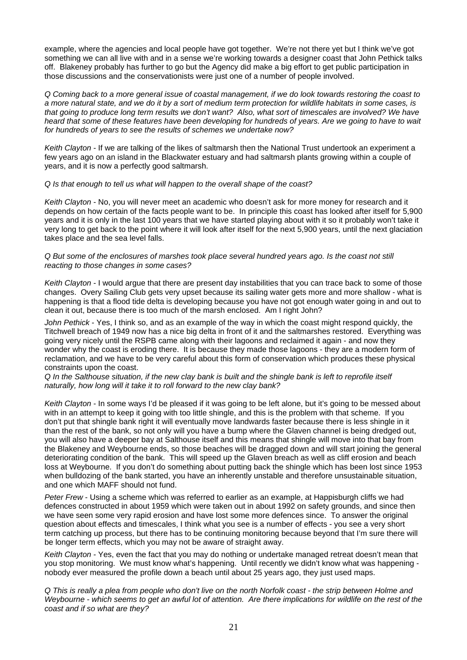example, where the agencies and local people have got together. We're not there yet but I think we've got something we can all live with and in a sense we're working towards a designer coast that John Pethick talks off. Blakeney probably has further to go but the Agency did make a big effort to get public participation in those discussions and the conservationists were just one of a number of people involved.

*Q Coming back to a more general issue of coastal management, if we do look towards restoring the coast to a more natural state, and we do it by a sort of medium term protection for wildlife habitats in some cases, is that going to produce long term results we don't want? Also, what sort of timescales are involved? We have heard that some of these features have been developing for hundreds of years. Are we going to have to wait for hundreds of years to see the results of schemes we undertake now?* 

*Keith Clayton* - If we are talking of the likes of saltmarsh then the National Trust undertook an experiment a few years ago on an island in the Blackwater estuary and had saltmarsh plants growing within a couple of years, and it is now a perfectly good saltmarsh.

#### *Q Is that enough to tell us what will happen to the overall shape of the coast?*

*Keith Clayton* - No, you will never meet an academic who doesn't ask for more money for research and it depends on how certain of the facts people want to be. In principle this coast has looked after itself for 5,900 years and it is only in the last 100 years that we have started playing about with it so it probably won't take it very long to get back to the point where it will look after itself for the next 5,900 years, until the next glaciation takes place and the sea level falls.

#### *Q But some of the enclosures of marshes took place several hundred years ago. Is the coast not still reacting to those changes in some cases?*

*Keith Clayton* - I would argue that there are present day instabilities that you can trace back to some of those changes. Overy Sailing Club gets very upset because its sailing water gets more and more shallow - what is happening is that a flood tide delta is developing because you have not got enough water going in and out to clean it out, because there is too much of the marsh enclosed. Am I right John?

*John Pethick* - Yes, I think so, and as an example of the way in which the coast might respond quickly, the Titchwell breach of 1949 now has a nice big delta in front of it and the saltmarshes restored. Everything was going very nicely until the RSPB came along with their lagoons and reclaimed it again - and now they wonder why the coast is eroding there. It is because they made those lagoons - they are a modern form of reclamation, and we have to be very careful about this form of conservation which produces these physical constraints upon the coast.

#### *Q In the Salthouse situation, if the new clay bank is built and the shingle bank is left to reprofile itself naturally, how long will it take it to roll forward to the new clay bank?*

*Keith Clayton* - In some ways I'd be pleased if it was going to be left alone, but it's going to be messed about with in an attempt to keep it going with too little shingle, and this is the problem with that scheme. If you don't put that shingle bank right it will eventually move landwards faster because there is less shingle in it than the rest of the bank, so not only will you have a bump where the Glaven channel is being dredged out, you will also have a deeper bay at Salthouse itself and this means that shingle will move into that bay from the Blakeney and Weybourne ends, so those beaches will be dragged down and will start joining the general deteriorating condition of the bank. This will speed up the Glaven breach as well as cliff erosion and beach loss at Weybourne. If you don't do something about putting back the shingle which has been lost since 1953 when bulldozing of the bank started, you have an inherently unstable and therefore unsustainable situation, and one which MAFF should not fund.

*Peter Frew* - Using a scheme which was referred to earlier as an example, at Happisburgh cliffs we had defences constructed in about 1959 which were taken out in about 1992 on safety grounds, and since then we have seen some very rapid erosion and have lost some more defences since. To answer the original question about effects and timescales, I think what you see is a number of effects - you see a very short term catching up process, but there has to be continuing monitoring because beyond that I'm sure there will be longer term effects, which you may not be aware of straight away.

*Keith Clayton* - Yes, even the fact that you may do nothing or undertake managed retreat doesn't mean that you stop monitoring. We must know what's happening. Until recently we didn't know what was happening nobody ever measured the profile down a beach until about 25 years ago, they just used maps.

*Q This is really a plea from people who don't live on the north Norfolk coast - the strip between Holme and Weybourne - which seems to get an awful lot of attention. Are there implications for wildlife on the rest of the coast and if so what are they?*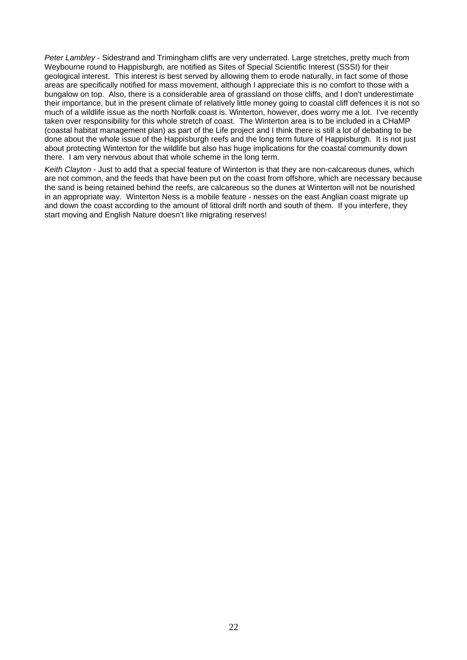*Peter Lambley* - Sidestrand and Trimingham cliffs are very underrated. Large stretches, pretty much from Weybourne round to Happisburgh, are notified as Sites of Special Scientific Interest (SSSI) for their geological interest. This interest is best served by allowing them to erode naturally, in fact some of those areas are specifically notified for mass movement, although I appreciate this is no comfort to those with a bungalow on top. Also, there is a considerable area of grassland on those cliffs, and I don't underestimate their importance, but in the present climate of relatively little money going to coastal cliff defences it is not so much of a wildlife issue as the north Norfolk coast is. Winterton, however, does worry me a lot. I've recently taken over responsibility for this whole stretch of coast. The Winterton area is to be included in a CHaMP (coastal habitat management plan) as part of the Life project and I think there is still a lot of debating to be done about the whole issue of the Happisburgh reefs and the long term future of Happisburgh. It is not just about protecting Winterton for the wildlife but also has huge implications for the coastal community down there. I am very nervous about that whole scheme in the long term.

*Keith Clayton* - Just to add that a special feature of Winterton is that they are non-calcareous dunes, which are not common, and the feeds that have been put on the coast from offshore, which are necessary because the sand is being retained behind the reefs, are calcareous so the dunes at Winterton will not be nourished in an appropriate way. Winterton Ness is a mobile feature - nesses on the east Anglian coast migrate up and down the coast according to the amount of littoral drift north and south of them. If you interfere, they start moving and English Nature doesn't like migrating reserves!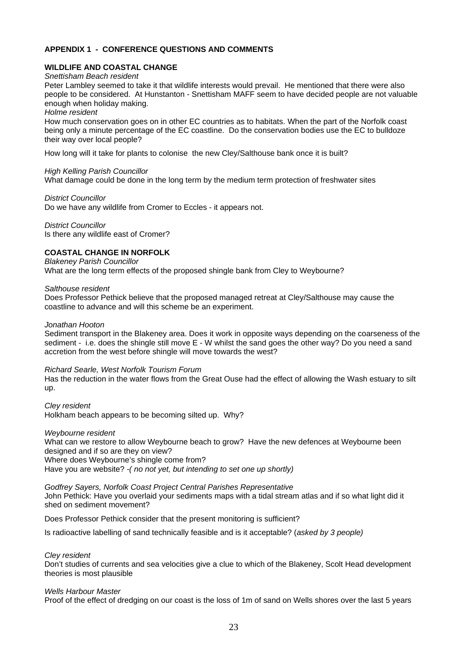#### **APPENDIX 1 - CONFERENCE QUESTIONS AND COMMENTS**

#### **WILDLIFE AND COASTAL CHANGE**

#### *Snettisham Beach resident*

Peter Lambley seemed to take it that wildlife interests would prevail. He mentioned that there were also people to be considered. At Hunstanton - Snettisham MAFF seem to have decided people are not valuable enough when holiday making.

*Holme resident* 

How much conservation goes on in other EC countries as to habitats. When the part of the Norfolk coast being only a minute percentage of the EC coastline. Do the conservation bodies use the EC to bulldoze their way over local people?

How long will it take for plants to colonise the new Cley/Salthouse bank once it is built?

#### *High Kelling Parish Councillor*

What damage could be done in the long term by the medium term protection of freshwater sites

*District Councillor* 

Do we have any wildlife from Cromer to Eccles - it appears not.

*District Councillor* Is there any wildlife east of Cromer?

### **COASTAL CHANGE IN NORFOLK**

*Blakeney Parish Councillor*  What are the long term effects of the proposed shingle bank from Cley to Weybourne?

*Salthouse resident* 

Does Professor Pethick believe that the proposed managed retreat at Cley/Salthouse may cause the coastline to advance and will this scheme be an experiment.

#### *Jonathan Hooton*

Sediment transport in the Blakeney area. Does it work in opposite ways depending on the coarseness of the sediment - i.e. does the shingle still move E - W whilst the sand goes the other way? Do you need a sand accretion from the west before shingle will move towards the west?

#### *Richard Searle, West Norfolk Tourism Forum*

Has the reduction in the water flows from the Great Ouse had the effect of allowing the Wash estuary to silt up.

*Cley resident*  Holkham beach appears to be becoming silted up. Why?

#### *Weybourne resident*

What can we restore to allow Weybourne beach to grow? Have the new defences at Weybourne been designed and if so are they on view? Where does Weybourne's shingle come from? Have you are website? *-( no not yet, but intending to set one up shortly)* 

#### *Godfrey Sayers, Norfolk Coast Project Central Parishes Representative*

John Pethick: Have you overlaid your sediments maps with a tidal stream atlas and if so what light did it shed on sediment movement?

Does Professor Pethick consider that the present monitoring is sufficient?

Is radioactive labelling of sand technically feasible and is it acceptable? (*asked by 3 people)* 

#### *Cley resident*

Don't studies of currents and sea velocities give a clue to which of the Blakeney, Scolt Head development theories is most plausible

#### *Wells Harbour Master*

Proof of the effect of dredging on our coast is the loss of 1m of sand on Wells shores over the last 5 years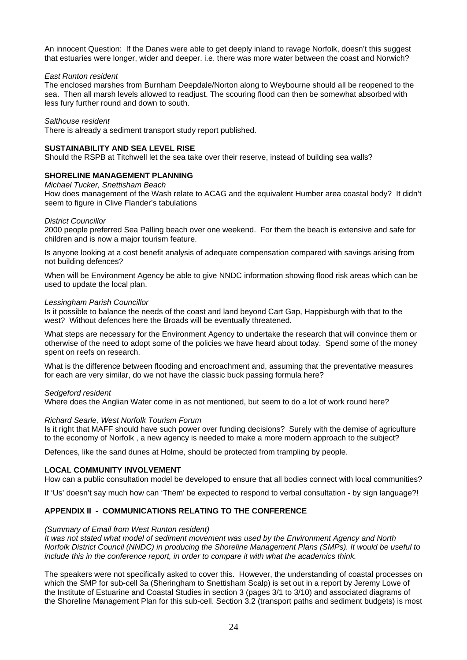An innocent Question: If the Danes were able to get deeply inland to ravage Norfolk, doesn't this suggest that estuaries were longer, wider and deeper. i.e. there was more water between the coast and Norwich?

#### *East Runton resident*

The enclosed marshes from Burnham Deepdale/Norton along to Weybourne should all be reopened to the sea. Then all marsh levels allowed to readjust. The scouring flood can then be somewhat absorbed with less fury further round and down to south.

#### *Salthouse resident*

There is already a sediment transport study report published.

#### **SUSTAINABILITY AND SEA LEVEL RISE**

Should the RSPB at Titchwell let the sea take over their reserve, instead of building sea walls?

#### **SHORELINE MANAGEMENT PLANNING**

*Michael Tucker, Snettisham Beach* 

How does management of the Wash relate to ACAG and the equivalent Humber area coastal body? It didn't seem to figure in Clive Flander's tabulations

#### *District Councillor*

2000 people preferred Sea Palling beach over one weekend. For them the beach is extensive and safe for children and is now a major tourism feature.

Is anyone looking at a cost benefit analysis of adequate compensation compared with savings arising from not building defences?

When will be Environment Agency be able to give NNDC information showing flood risk areas which can be used to update the local plan.

#### *Lessingham Parish Councillor*

Is it possible to balance the needs of the coast and land beyond Cart Gap, Happisburgh with that to the west? Without defences here the Broads will be eventually threatened.

What steps are necessary for the Environment Agency to undertake the research that will convince them or otherwise of the need to adopt some of the policies we have heard about today. Spend some of the money spent on reefs on research.

What is the difference between flooding and encroachment and, assuming that the preventative measures for each are very similar, do we not have the classic buck passing formula here?

#### *Sedgeford resident*

Where does the Anglian Water come in as not mentioned, but seem to do a lot of work round here?

#### *Richard Searle, West Norfolk Tourism Forum*

Is it right that MAFF should have such power over funding decisions? Surely with the demise of agriculture to the economy of Norfolk , a new agency is needed to make a more modern approach to the subject?

Defences, like the sand dunes at Holme, should be protected from trampling by people.

#### **LOCAL COMMUNITY INVOLVEMENT**

How can a public consultation model be developed to ensure that all bodies connect with local communities?

If 'Us' doesn't say much how can 'Them' be expected to respond to verbal consultation - by sign language?!

#### **APPENDIX II - COMMUNICATIONS RELATING TO THE CONFERENCE**

#### *(Summary of Email from West Runton resident)*

*It was not stated what model of sediment movement was used by the Environment Agency and North Norfolk District Council (NNDC) in producing the Shoreline Management Plans (SMPs). It would be useful to include this in the conference report, in order to compare it with what the academics think.* 

The speakers were not specifically asked to cover this. However, the understanding of coastal processes on which the SMP for sub-cell 3a (Sheringham to Snettisham Scalp) is set out in a report by Jeremy Lowe of the Institute of Estuarine and Coastal Studies in section 3 (pages 3/1 to 3/10) and associated diagrams of the Shoreline Management Plan for this sub-cell. Section 3.2 (transport paths and sediment budgets) is most